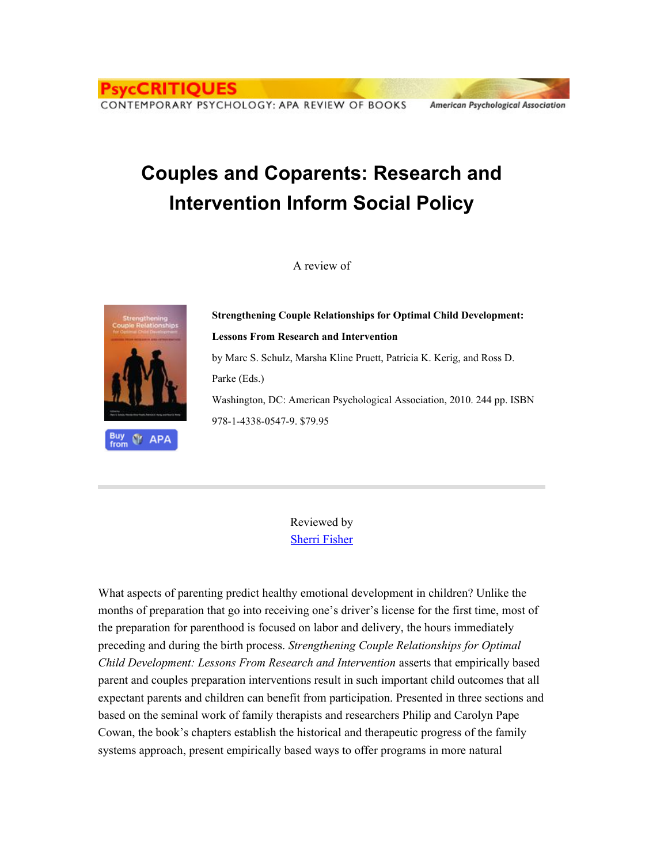CONTEMPORARY PSYCHOLOGY: APA REVIEW OF BOOKS

CRITIOUES

## **Couples and Coparents: Research and Intervention Inform Social Policy**

A review of





**Strengthening Couple Relationships for Optimal Child Development: Lessons From Research and Intervention** by Marc S. Schulz, Marsha Kline Pruett, Patricia K. Kerig, and Ross D. Parke (Eds.) Washington, DC: American Psychological Association, 2010. 244 pp. ISBN 978-1-4338-0547-9. \$79.95

American Psychological Association

Reviewed by Sherri [Fisher](http://supp.apa.org/psyccritiques/bios/rev3860)

What aspects of parenting predict healthy emotional development in children? Unlike the months of preparation that go into receiving one's driver's license for the first time, most of the preparation for parenthood is focused on labor and delivery, the hours immediately preceding and during the birth process. *Strengthening Couple Relationships for Optimal Child Development: Lessons From Research and Intervention* asserts that empirically based parent and couples preparation interventions result in such important child outcomes that all expectant parents and children can benefit from participation. Presented in three sections and based on the seminal work of family therapists and researchers Philip and Carolyn Pape Cowan, the book's chapters establish the historical and therapeutic progress of the family systems approach, present empirically based ways to offer programs in more natural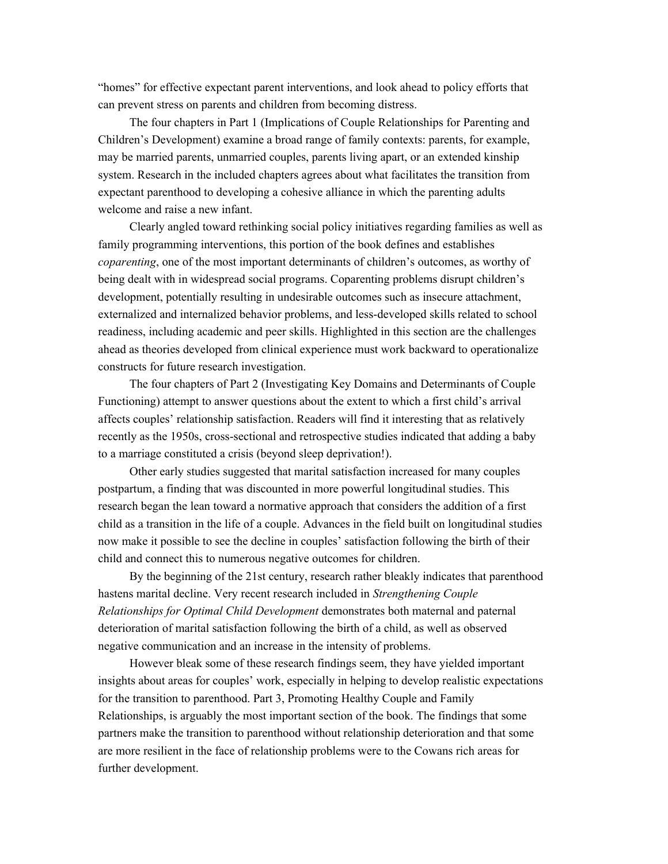"homes" for effective expectant parent interventions, and look ahead to policy efforts that can prevent stress on parents and children from becoming distress.

The four chapters in Part 1 (Implications of Couple Relationships for Parenting and Children's Development) examine a broad range of family contexts: parents, for example, may be married parents, unmarried couples, parents living apart, or an extended kinship system. Research in the included chapters agrees about what facilitates the transition from expectant parenthood to developing a cohesive alliance in which the parenting adults welcome and raise a new infant.

Clearly angled toward rethinking social policy initiatives regarding families as well as family programming interventions, this portion of the book defines and establishes *coparenting*, one of the most important determinants of children's outcomes, as worthy of being dealt with in widespread social programs. Coparenting problems disrupt children's development, potentially resulting in undesirable outcomes such as insecure attachment, externalized and internalized behavior problems, and less-developed skills related to school readiness, including academic and peer skills. Highlighted in this section are the challenges ahead as theories developed from clinical experience must work backward to operationalize constructs for future research investigation.

The four chapters of Part 2 (Investigating Key Domains and Determinants of Couple Functioning) attempt to answer questions about the extent to which a first child's arrival affects couples' relationship satisfaction. Readers will find it interesting that as relatively recently as the 1950s, cross-sectional and retrospective studies indicated that adding a baby to a marriage constituted a crisis (beyond sleep deprivation!).

Other early studies suggested that marital satisfaction increased for many couples postpartum, a finding that was discounted in more powerful longitudinal studies. This research began the lean toward a normative approach that considers the addition of a first child as a transition in the life of a couple. Advances in the field built on longitudinal studies now make it possible to see the decline in couples' satisfaction following the birth of their child and connect this to numerous negative outcomes for children.

By the beginning of the 21st century, research rather bleakly indicates that parenthood hastens marital decline. Very recent research included in *Strengthening Couple Relationships for Optimal Child Development* demonstrates both maternal and paternal deterioration of marital satisfaction following the birth of a child, as well as observed negative communication and an increase in the intensity of problems.

However bleak some of these research findings seem, they have yielded important insights about areas for couples' work, especially in helping to develop realistic expectations for the transition to parenthood. Part 3, Promoting Healthy Couple and Family Relationships, is arguably the most important section of the book. The findings that some partners make the transition to parenthood without relationship deterioration and that some are more resilient in the face of relationship problems were to the Cowans rich areas for further development.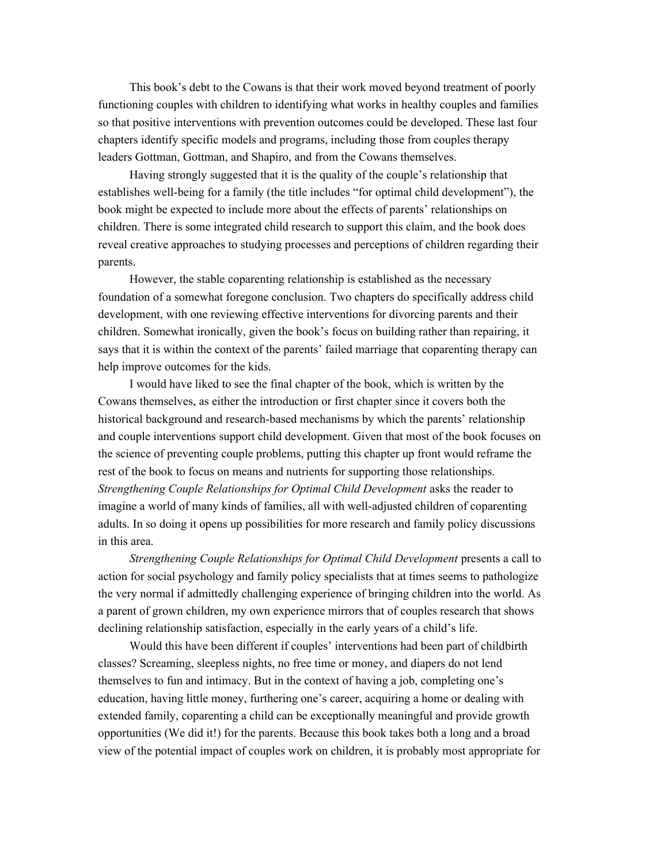This book's debt to the Cowans is that their work moved beyond treatment of poorly functioning couples with children to identifying what works in healthy couples and families so that positive interventions with prevention outcomes could be developed. These last four chapters identify specific models and programs, including those from couples therapy leaders Gottman, Gottman, and Shapiro, and from the Cowans themselves.

Having strongly suggested that it is the quality of the couple's relationship that establishes well-being for a family (the title includes "for optimal child development"), the book might be expected to include more about the effects of parents' relationships on children. There is some integrated child research to support this claim, and the book does reveal creative approaches to studying processes and perceptions of children regarding their parents.

However, the stable coparenting relationship is established as the necessary foundation of a somewhat foregone conclusion. Two chapters do specifically address child development, with one reviewing effective interventions for divorcing parents and their children. Somewhat ironically, given the book's focus on building rather than repairing, it says that it is within the context of the parents' failed marriage that coparenting therapy can help improve outcomes for the kids.

I would have liked to see the final chapter of the book, which is written by the Cowans themselves, as either the introduction or first chapter since it covers both the historical background and research-based mechanisms by which the parents' relationship and couple interventions support child development. Given that most of the book focuses on the science of preventing couple problems, putting this chapter up front would reframe the rest of the book to focus on means and nutrients for supporting those relationships. *Strengthening Couple Relationships for Optimal Child Development* asks the reader to imagine a world of many kinds of families, all with well-adjusted children of coparenting adults. In so doing it opens up possibilities for more research and family policy discussions in this area.

*Strengthening Couple Relationships for Optimal Child Development* presents a call to action for social psychology and family policy specialists that at times seems to pathologize the very normal if admittedly challenging experience of bringing children into the world. As a parent of grown children, my own experience mirrors that of couples research that shows declining relationship satisfaction, especially in the early years of a child's life.

Would this have been different if couples' interventions had been part of childbirth classes? Screaming, sleepless nights, no free time or money, and diapers do not lend themselves to fun and intimacy. But in the context of having a job, completing one's education, having little money, furthering one's career, acquiring a home or dealing with extended family, coparenting a child can be exceptionally meaningful and provide growth opportunities (We did it!) for the parents. Because this book takes both a long and a broad view of the potential impact of couples work on children, it is probably most appropriate for